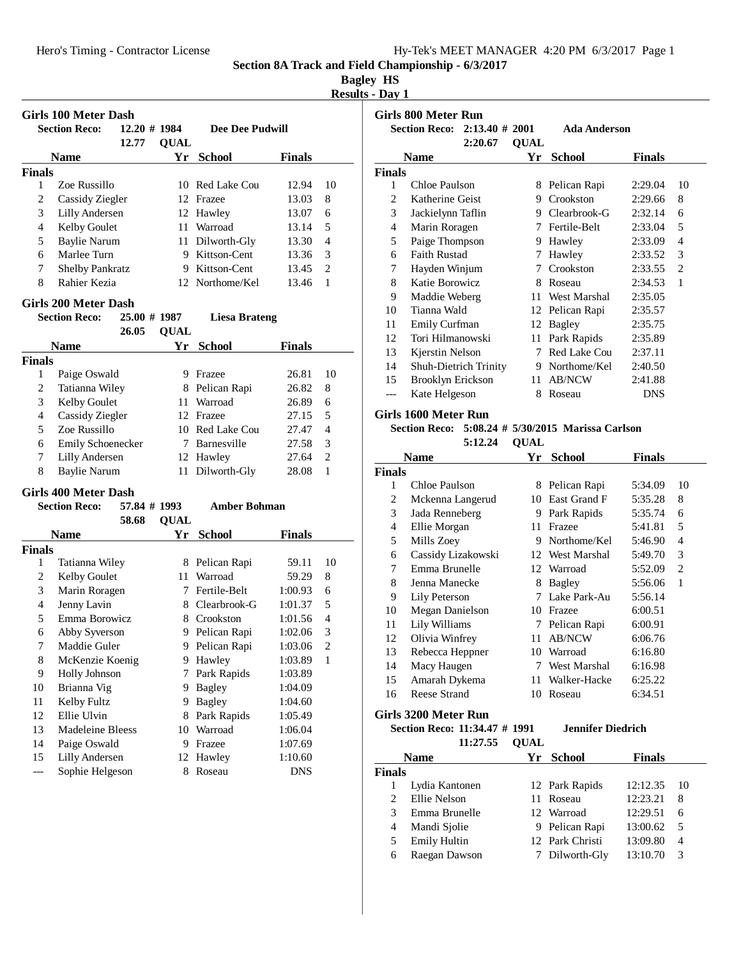|  | Hy-Tek's MEET MANAGER 4:20 PM 6/3/2017 Page 1 |  |  |
|--|-----------------------------------------------|--|--|
|  |                                               |  |  |

# **Bagley HS**

**Results - Day 1**

|               | <b>Girls 100 Meter Dash</b> |                 |             |                      |               |                |
|---------------|-----------------------------|-----------------|-------------|----------------------|---------------|----------------|
|               | <b>Section Reco:</b>        | $12.20 \# 1984$ |             | Dee Dee Pudwill      |               |                |
|               |                             | 12.77           | <b>QUAL</b> |                      |               |                |
|               | <b>Name</b>                 |                 | Yr          | <b>School</b>        | <b>Finals</b> |                |
| <b>Finals</b> |                             |                 |             |                      |               |                |
| 1             | Zoe Russillo                |                 |             | 10 Red Lake Cou      | 12.94         | 10             |
| 2             | Cassidy Ziegler             |                 |             | 12 Frazee            | 13.03         | 8              |
| 3             | Lilly Andersen              |                 |             | 12 Hawley            | 13.07         | 6              |
| 4             | Kelby Goulet                |                 |             | 11 Warroad           | 13.14         | 5              |
| 5             | <b>Baylie Narum</b>         |                 |             | 11 Dilworth-Gly      | 13.30         | 4              |
| 6             | Marlee Turn                 |                 |             | 9 Kittson-Cent       | 13.36         | 3              |
| 7             | <b>Shelby Pankratz</b>      |                 |             | 9 Kittson-Cent       | 13.45         | $\overline{c}$ |
| 8             | Rahier Kezia                |                 |             | 12 Northome/Kel      | 13.46         | 1              |
|               | <b>Girls 200 Meter Dash</b> |                 |             |                      |               |                |
|               | <b>Section Reco:</b>        | 25.00 # 1987    |             | <b>Liesa Brateng</b> |               |                |
|               |                             | 26.05           | <b>QUAL</b> |                      |               |                |
|               | <b>Name</b>                 |                 | Yr          | <b>School</b>        | <b>Finals</b> |                |
| <b>Finals</b> |                             |                 |             |                      |               |                |
| 1             | Paige Oswald                |                 |             | 9 Frazee             | 26.81         | 10             |
| 2             | Tatianna Wiley              |                 |             | 8 Pelican Rapi       | 26.82         | 8              |
| 3             | Kelby Goulet                |                 |             | 11 Warroad           | 26.89         | 6              |
| 4             | Cassidy Ziegler             |                 |             | 12 Frazee            | 27.15         | 5              |
| 5             | Zoe Russillo                |                 |             | 10 Red Lake Cou      | 27.47         | 4              |
| 6             | Emily Schoenecker           |                 |             | 7 Barnesville        | 27.58         | 3              |
| 7             | <b>Lilly Andersen</b>       |                 |             | 12 Hawley            | 27.64         | $\overline{c}$ |
| 8             | <b>Baylie Narum</b>         |                 | 11          | Dilworth-Gly         | 28.08         | 1              |
|               | <b>Girls 400 Meter Dash</b> |                 |             |                      |               |                |
|               | <b>Section Reco:</b>        | 57.84 # 1993    |             | <b>Amber Bohman</b>  |               |                |
|               |                             | 58.68           | <b>QUAL</b> |                      |               |                |
|               | <b>Name</b>                 |                 | Yr          | <b>School</b>        | <b>Finals</b> |                |
| <b>Finals</b> |                             |                 |             |                      |               |                |
| 1             | Tatianna Wiley              |                 |             | 8 Pelican Rapi       | 59.11         | 10             |
| 2             | Kelby Goulet                |                 | 11          | Warroad              | 59.29         | 8              |
| 3             | Marin Roragen               |                 | 7           | Fertile-Belt         | 1:00.93       | 6              |
| 4             | Jenny Lavin                 |                 |             | 8 Clearbrook-G       | 1:01.37       | 5              |
| 5             | Emma Borowicz               |                 |             | 8 Crookston          | 1:01.56       | 4              |
| 6             | Abby Syverson               |                 |             | 9 Pelican Rapi       | 1:02.06       | 3              |
| 7             | Maddie Guler                |                 | 9           | Pelican Rapi         | 1:03.06       | $\overline{c}$ |
| 8             | McKenzie Koenig             |                 | 9           | Hawley               | 1:03.89       | $\mathbf{1}$   |
| 9             | Holly Johnson               |                 | 7           | Park Rapids          | 1:03.89       |                |
| 10            | Brianna Vig                 |                 | 9           | <b>Bagley</b>        | 1:04.09       |                |
| 11            | Kelby Fultz                 |                 | 9           | Bagley               | 1:04.60       |                |
| 12            | Ellie Ulvin                 |                 | 8           | Park Rapids          | 1:05.49       |                |
| 13            | Madeleine Bleess            |                 | 10          | Warroad              | 1:06.04       |                |
| 14            | Paige Oswald                |                 | 9           | Frazee               | 1:07.69       |                |
| 15            | Lilly Andersen              |                 | 12          | Hawley               | 1:10.60       |                |
| ---           | Sophie Helgeson             |                 | 8           | Roseau               | <b>DNS</b>    |                |

|                | Girls 800 Meter Run          |                   |             |                     |               |    |
|----------------|------------------------------|-------------------|-------------|---------------------|---------------|----|
|                | <b>Section Reco:</b>         | $2:13.40 \# 2001$ |             | <b>Ada Anderson</b> |               |    |
|                |                              | 2:20.67           | <b>OUAL</b> |                     |               |    |
|                | Name                         |                   | Yr          | School              | <b>Finals</b> |    |
| <b>Finals</b>  |                              |                   |             |                     |               |    |
| 1              | Chloe Paulson                |                   | 8           | Pelican Rapi        | 2:29.04       | 10 |
| 2              | Katherine Geist              |                   | 9           | Crookston           | 2:29.66       | 8  |
| 3              | Jackielynn Taflin            |                   | 9           | Clearbrook-G        | 2:32.14       | 6  |
| $\overline{4}$ | Marin Roragen                |                   | 7           | Fertile-Belt        | 2:33.04       | 5  |
| 5              | Paige Thompson               |                   | 9           | Hawley              | 2:33.09       | 4  |
| 6              | <b>Faith Rustad</b>          |                   | 7           | Hawley              | 2:33.52       | 3  |
| 7              | Hayden Winjum                |                   | 7           | Crookston           | 2:33.55       | 2  |
| 8              | Katie Borowicz               |                   | 8           | Roseau              | 2:34.53       | 1  |
| 9              | Maddie Weberg                |                   | 11          | West Marshal        | 2:35.05       |    |
| 10             | Tianna Wald                  |                   | 12          | Pelican Rapi        | 2:35.57       |    |
| 11             | <b>Emily Curfman</b>         |                   | 12          | Bagley              | 2:35.75       |    |
| 12             | Tori Hilmanowski             |                   | 11          | Park Rapids         | 2:35.89       |    |
| 13             | Kjerstin Nelson              |                   | 7           | Red Lake Cou        | 2:37.11       |    |
| 14             | <b>Shuh-Dietrich Trinity</b> |                   | 9           | Northome/Kel        | 2:40.50       |    |
| 15             | Brooklyn Erickson            |                   | 11          | <b>AB/NCW</b>       | 2:41.88       |    |
| ---            | Kate Helgeson                |                   | 8           | Roseau              | <b>DNS</b>    |    |

## **Girls 1600 Meter Run**

**Section Reco:** 5:08.24 # 5/30/2015 Marissa Carlson

5:12.24 **QUAL** 

|               | Name                          | Yr | <b>School</b>   | Finals  |                |
|---------------|-------------------------------|----|-----------------|---------|----------------|
| <b>Finals</b> |                               |    |                 |         |                |
| 1             | Chloe Paulson                 | 8  | Pelican Rapi    | 5:34.09 | 10             |
| 2             | Mckenna Langerud              | 10 | East Grand F    | 5:35.28 | 8              |
| 3             | Jada Renneberg                | 9  | Park Rapids     | 5:35.74 | 6              |
| 4             | Ellie Morgan                  | 11 | Frazee          | 5:41.81 | 5              |
| 5             | Mills Zoey                    | 9  | Northome/Kel    | 5:46.90 | 4              |
| 6             | Cassidy Lizakowski            |    | 12 West Marshal | 5:49.70 | 3              |
| 7             | Emma Brunelle                 |    | 12 Warroad      | 5:52.09 | $\overline{c}$ |
| 8             | Jenna Manecke                 | 8  | <b>Bagley</b>   | 5:56.06 | 1              |
| 9             | Lily Peterson                 | 7  | Lake Park-Au    | 5:56.14 |                |
| 10            | <b>Megan Danielson</b>        | 10 | Frazee          | 6:00.51 |                |
| 11            | Lily Williams                 | 7  | Pelican Rapi    | 6:00.91 |                |
| 12            | Olivia Winfrey                | 11 | <b>AB/NCW</b>   | 6:06.76 |                |
| 13            | Rebecca Heppner               | 10 | Warroad         | 6:16.80 |                |
| 14            | Macy Haugen                   | 7  | West Marshal    | 6:16.98 |                |
| 15            | Amarah Dykema                 | 11 | Walker-Hacke    | 6:25.22 |                |
| 16            | Reese Strand                  | 10 | Roseau          | 6:34.51 |                |
|               | $C_{\rm inlo}$ 2200 Motor Dun |    |                 |         |                |

**Girls 3200 Meter Run**

**Section Reco: 11:34.47 # 1991 Jennifer Diedrich** 

| 11:27.55            | <b>OUAL</b> |                                                                                                             |     |
|---------------------|-------------|-------------------------------------------------------------------------------------------------------------|-----|
|                     |             | <b>Finals</b>                                                                                               |     |
|                     |             |                                                                                                             |     |
| Lydia Kantonen      |             | 12:12.35                                                                                                    | -10 |
| Ellie Nelson        |             | 12:23.21                                                                                                    | 8   |
| Emma Brunelle       |             | 12:29.51                                                                                                    | 6   |
| Mandi Sjolie        |             | 13:00.62                                                                                                    | .5  |
| <b>Emily Hultin</b> |             | 13:09.80                                                                                                    | 4   |
| Raegan Dawson       |             | 13:10.70                                                                                                    | 3   |
| <b>Finals</b>       | <b>Name</b> | Yr School<br>12 Park Rapids<br>11 Roseau<br>12 Warroad<br>9 Pelican Rapi<br>12 Park Christi<br>Dilworth-Gly |     |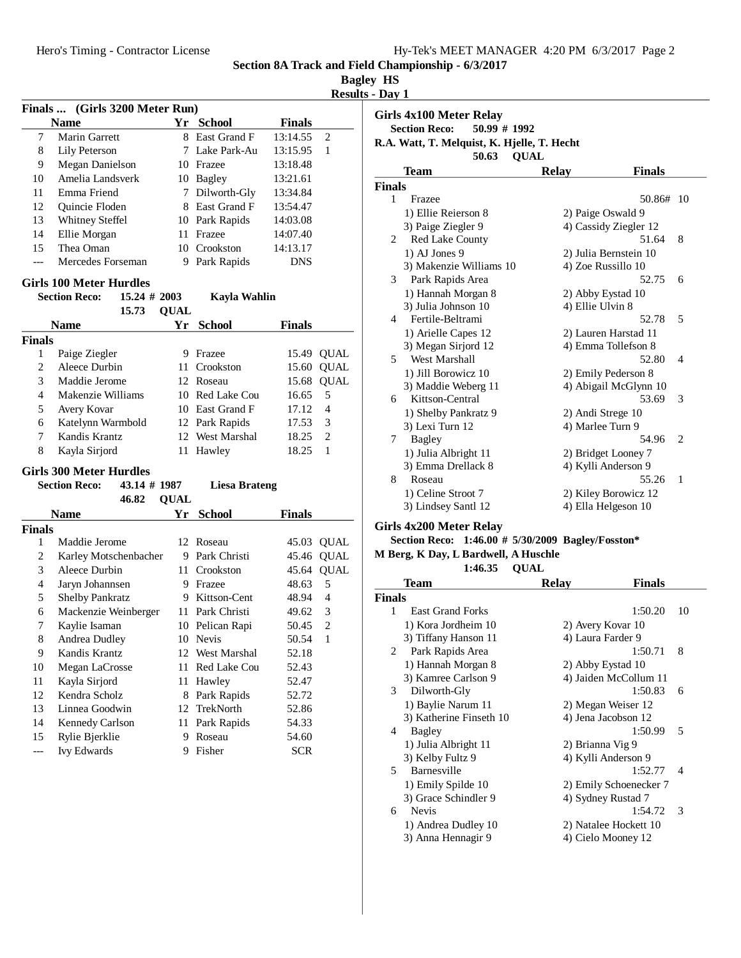| <b>Bagley</b> | нs |
|---------------|----|
|---------------|----|

| <b>Results - Day 1</b> |  |  |
|------------------------|--|--|

|                | Finals  (Girls 3200 Meter Run)          |             |                      |               |                |
|----------------|-----------------------------------------|-------------|----------------------|---------------|----------------|
|                | <b>Name</b>                             |             | Yr School            | <b>Finals</b> |                |
| 7              | <b>Marin Garrett</b>                    |             | 8 East Grand F       | 13:14.55      | $\mathfrak{2}$ |
| 8              | Lily Peterson                           |             | 7 Lake Park-Au       | 13:15.95      | 1              |
| 9              | <b>Megan Danielson</b>                  |             | 10 Frazee            | 13:18.48      |                |
| 10             | Amelia Landsverk                        |             | 10 Bagley            | 13:21.61      |                |
| 11             | Emma Friend                             | 7           | Dilworth-Gly         | 13:34.84      |                |
| 12             | Quincie Floden                          |             | 8 East Grand F       | 13:54.47      |                |
| 13             | Whitney Steffel                         |             | 10 Park Rapids       | 14:03.08      |                |
| 14             | Ellie Morgan                            |             | 11 Frazee            | 14:07.40      |                |
| 15             | Thea Oman                               |             | 10 Crookston         | 14:13.17      |                |
| ---            | Mercedes Forseman                       | 9           | Park Rapids          | <b>DNS</b>    |                |
|                | <b>Girls 100 Meter Hurdles</b>          |             |                      |               |                |
|                | $15.24 \# 2003$<br><b>Section Reco:</b> |             | Kayla Wahlin         |               |                |
|                | 15.73                                   | <b>QUAL</b> |                      |               |                |
|                | <b>Name</b>                             | Yr          | <b>School</b>        | <b>Finals</b> |                |
| <b>Finals</b>  |                                         |             |                      |               |                |
| 1              | Paige Ziegler                           |             | 9 Frazee             | 15.49         | QUAL           |
| $\overline{c}$ | Aleece Durbin                           |             | 11 Crookston         | 15.60         | <b>QUAL</b>    |
| 3              | Maddie Jerome                           |             | 12 Roseau            | 15.68         | <b>QUAL</b>    |
| 4              | Makenzie Williams                       |             | 10 Red Lake Cou      | 16.65         | 5              |
| 5              | Avery Kovar                             |             | 10 East Grand F      | 17.12         | 4              |
| 6              | Katelynn Warmbold                       |             | 12 Park Rapids       | 17.53         | 3              |
| 7              | Kandis Krantz                           |             | 12 West Marshal      | 18.25         | $\overline{2}$ |
| 8              | Kayla Sirjord                           | 11          | Hawley               | 18.25         | 1              |
|                | <b>Girls 300 Meter Hurdles</b>          |             |                      |               |                |
|                | 43.14 # 1987<br><b>Section Reco:</b>    |             | <b>Liesa Brateng</b> |               |                |
|                | 46.82                                   | <b>QUAL</b> |                      |               |                |
|                | <b>Name</b>                             | Yr          | <b>School</b>        | <b>Finals</b> |                |
| <b>Finals</b>  |                                         |             |                      |               |                |
| 1              | Maddie Jerome                           |             | 12 Roseau            | 45.03         | QUAL           |
| 2              | Karley Motschenbacher                   |             | 9 Park Christi       | 45.46         | <b>QUAL</b>    |
| 3              | Aleece Durbin                           |             | 11 Crookston         | 45.64         | <b>QUAL</b>    |
| 4              | Jaryn Johannsen                         |             | 9 Frazee             | 48.63         | 5              |
| 5              | <b>Shelby Pankratz</b>                  |             | 9 Kittson-Cent       | 48.94         | $\overline{4}$ |
| 6              | Mackenzie Weinberger                    |             | 11 Park Christi      | 49.62         | 3              |
| 7              | Kaylie Isaman                           |             | 10 Pelican Rapi      | 50.45         | $\overline{c}$ |
| 8              | <b>Andrea Dudley</b>                    | 10          | Nevis                | 50.54         | $\mathbf{1}$   |
| 9              | Kandis Krantz                           | 12          | West Marshal         | 52.18         |                |
| 10             | Megan LaCrosse                          | 11          | Red Lake Cou         | 52.43         |                |
| 11             | Kayla Sirjord                           | 11          | Hawley               | 52.47         |                |
| 12             | Kendra Scholz                           | 8           | Park Rapids          | 52.72         |                |
| 13             | Linnea Goodwin                          | 12          | TrekNorth            | 52.86         |                |
| 14             | Kennedy Carlson                         | 11          | Park Rapids          | 54.33         |                |
| 15             | Rylie Bjerklie                          | 9           | Roseau               | 54.60         |                |
| ---            | <b>Ivy Edwards</b>                      | 9           | Fisher               | <b>SCR</b>    |                |

|               | Girls 4x100 Meter Relay<br><b>Section Reco:</b><br>50.99 # 1992     |                        |                |
|---------------|---------------------------------------------------------------------|------------------------|----------------|
|               | R.A. Watt, T. Melquist, K. Hjelle, T. Hecht<br>50.63<br><b>OUAL</b> |                        |                |
|               | Team                                                                | <b>Finals</b><br>Relay |                |
| <b>Finals</b> |                                                                     |                        |                |
| $\mathbf{1}$  | Frazee                                                              | 50.86#                 | 10             |
|               | 1) Ellie Reierson 8                                                 | 2) Paige Oswald 9      |                |
|               | 3) Paige Ziegler 9                                                  | 4) Cassidy Ziegler 12  |                |
| 2             | <b>Red Lake County</b>                                              | 51.64                  | 8              |
|               | $1)$ AJ Jones 9                                                     | 2) Julia Bernstein 10  |                |
|               | 3) Makenzie Williams 10                                             | 4) Zoe Russillo 10     |                |
| 3             | Park Rapids Area                                                    | 52.75                  | 6              |
|               | 1) Hannah Morgan 8                                                  | 2) Abby Eystad 10      |                |
|               | 3) Julia Johnson 10                                                 | 4) Ellie Ulvin 8       |                |
| 4             | Fertile-Beltrami                                                    | 52.78                  | 5              |
|               | 1) Arielle Capes 12                                                 | 2) Lauren Harstad 11   |                |
|               | 3) Megan Sirjord 12                                                 | 4) Emma Tollefson 8    |                |
| 5             | West Marshall                                                       | 52.80                  | $\overline{4}$ |
|               | 1) Jill Borowicz 10                                                 | 2) Emily Pederson 8    |                |
|               | 3) Maddie Weberg 11                                                 | 4) Abigail McGlynn 10  |                |
| 6             | Kittson-Central                                                     | 53.69                  | 3              |
|               | 1) Shelby Pankratz 9                                                | 2) Andi Strege 10      |                |
|               | 3) Lexi Turn 12                                                     | 4) Marlee Turn 9       |                |
| 7             | Bagley                                                              | 54.96                  | $\overline{c}$ |
|               | 1) Julia Albright 11                                                | 2) Bridget Looney 7    |                |
|               | 3) Emma Drellack 8                                                  | 4) Kylli Anderson 9    |                |
| 8             | Roseau                                                              | 55.26                  | 1              |
|               | 1) Celine Stroot 7                                                  | 2) Kiley Borowicz 12   |                |
|               | 3) Lindsey Santl 12                                                 | 4) Ella Helgeson 10    |                |
|               |                                                                     |                        |                |

# **Girls 4x200 Meter Relay**

# Section Reco: 1:46.00 # 5/30/2009 Bagley/Fosston\* **M Berg, K Day, L Bardwell, A Huschle**

1:46.35 **QUAL** 

|        | Team                    | Relav                  | <b>Finals</b> |                          |
|--------|-------------------------|------------------------|---------------|--------------------------|
| Finals |                         |                        |               |                          |
| 1      | <b>East Grand Forks</b> |                        | 1:50.20       | 10                       |
|        | 1) Kora Jordheim 10     | 2) Avery Kovar 10      |               |                          |
|        | 3) Tiffany Hanson 11    | 4) Laura Farder 9      |               |                          |
| 2      | Park Rapids Area        |                        | 1:50.71       | 8                        |
|        | 1) Hannah Morgan 8      | 2) Abby Eystad 10      |               |                          |
|        | 3) Kamree Carlson 9     | 4) Jaiden McCollum 11  |               |                          |
| 3      | Dilworth-Gly            |                        | 1:50.83       | 6                        |
|        | 1) Baylie Narum 11      | 2) Megan Weiser 12     |               |                          |
|        | 3) Katherine Finseth 10 | 4) Jena Jacobson 12    |               |                          |
| 4      | Bagley                  |                        | 1:50.99       | 5                        |
|        | 1) Julia Albright 11    | 2) Brianna Vig 9       |               |                          |
|        | 3) Kelby Fultz 9        | 4) Kylli Anderson 9    |               |                          |
| 5      | Barnesville             |                        | 1:52.77       | $\overline{\mathcal{A}}$ |
|        | 1) Emily Spilde 10      | 2) Emily Schoenecker 7 |               |                          |
|        | 3) Grace Schindler 9    | 4) Sydney Rustad 7     |               |                          |
| 6      | <b>Nevis</b>            |                        | 1:54.72       | 3                        |
|        | 1) Andrea Dudley 10     | 2) Natalee Hockett 10  |               |                          |
|        | 3) Anna Hennagir 9      | 4) Cielo Mooney 12     |               |                          |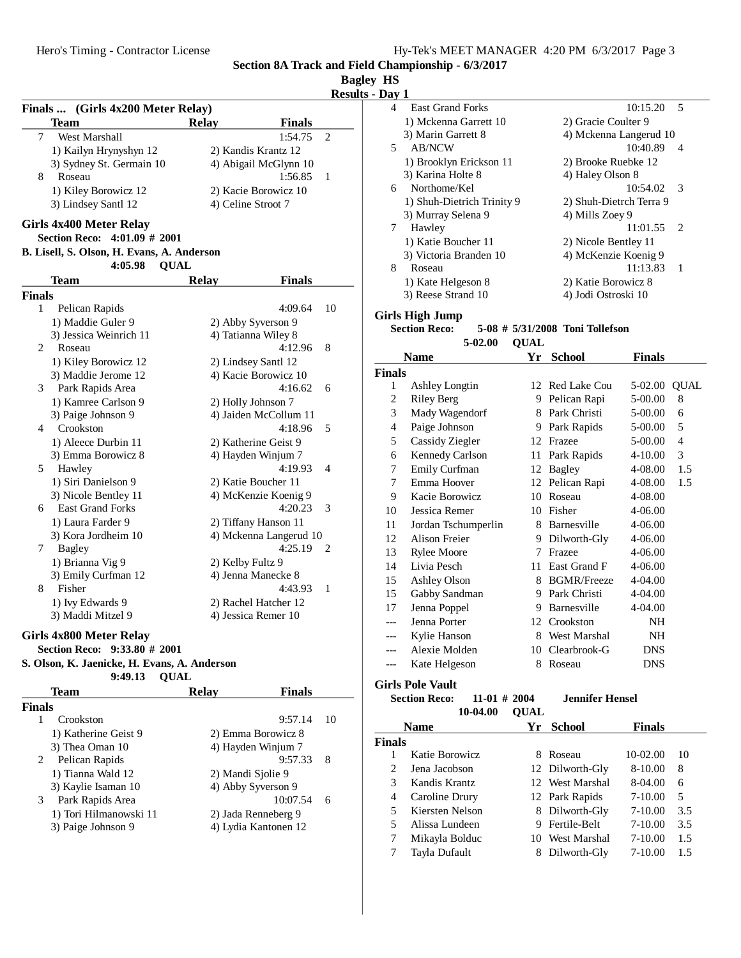# **Bagley HS**

**Results - Day 1**

| Finals  (Girls 4x200 Meter Relay)          |                        |                           |
|--------------------------------------------|------------------------|---------------------------|
| <b>Team</b>                                | <b>Relay</b>           | <b>Finals</b>             |
| West Marshall<br>7                         |                        | 1:54.75<br>$\mathfrak{2}$ |
| 1) Kailyn Hrynyshyn 12                     | 2) Kandis Krantz 12    |                           |
| 3) Sydney St. Germain 10                   | 4) Abigail McGlynn 10  |                           |
| 8<br>Roseau                                |                        | 1:56.85<br>1              |
| 1) Kiley Borowicz 12                       | 2) Kacie Borowicz 10   |                           |
| 3) Lindsey Santl 12                        | 4) Celine Stroot 7     |                           |
| Girls 4x400 Meter Relay                    |                        |                           |
| Section Reco: 4:01.09 # 2001               |                        |                           |
| B. Lisell, S. Olson, H. Evans, A. Anderson |                        |                           |
| 4:05.98<br><b>QUAL</b>                     |                        |                           |
| Team                                       | <b>Relay</b>           | <b>Finals</b>             |
| Finals                                     |                        |                           |
| 1<br>Pelican Rapids                        |                        | 4:09.64<br>10             |
| 1) Maddie Guler 9                          | 2) Abby Syverson 9     |                           |
| 3) Jessica Weinrich 11                     | 4) Tatianna Wiley 8    |                           |
| 2<br>Roseau                                |                        | 4:12.96<br>8              |
| 1) Kiley Borowicz 12                       | 2) Lindsey Santl 12    |                           |
| 3) Maddie Jerome 12                        | 4) Kacie Borowicz 10   |                           |
| 3<br>Park Rapids Area                      |                        | 4:16.62<br>6              |
| 1) Kamree Carlson 9                        | 2) Holly Johnson 7     |                           |
| 3) Paige Johnson 9                         | 4) Jaiden McCollum 11  |                           |
| 4<br>Crookston                             |                        | 4:18.96<br>5              |
| 1) Aleece Durbin 11                        | 2) Katherine Geist 9   |                           |
| 3) Emma Borowicz 8                         | 4) Hayden Winjum 7     |                           |
| 5<br>Hawley                                |                        | 4:19.93<br>4              |
| 1) Siri Danielson 9                        | 2) Katie Boucher 11    |                           |
| 3) Nicole Bentley 11                       | 4) McKenzie Koenig 9   |                           |
| <b>East Grand Forks</b><br>6               |                        | 4:20.23<br>3              |
| 1) Laura Farder 9                          | 2) Tiffany Hanson 11   |                           |
| 3) Kora Jordheim 10                        | 4) Mckenna Langerud 10 |                           |
| <b>Bagley</b><br>7                         |                        | 4:25.19<br>2              |
| 1) Brianna Vig 9                           | 2) Kelby Fultz 9       |                           |
| 3) Emily Curfman 12                        | 4) Jenna Manecke 8     |                           |
| 8<br>Fisher                                |                        | 4:43.93<br>1              |
| 1) Ivy Edwards 9                           | 2) Rachel Hatcher 12   |                           |
| 3) Maddi Mitzel 9                          | 4) Jessica Remer 10    |                           |
|                                            |                        |                           |

#### **Girls 4x800 Meter Relay**

# **Section Reco: 9:33.80 # 2001**

#### **S. Olson, K. Jaenicke, H. Evans, A. Anderson 9:49.13 QUAL**

| ,,,,,,<br>Team         | $\mathbf{v}$<br><b>Finals</b><br><b>Relay</b> |    |
|------------------------|-----------------------------------------------|----|
|                        |                                               |    |
| <b>Finals</b>          |                                               |    |
| Crookston              | 9:57.14                                       | 10 |
| 1) Katherine Geist 9   | 2) Emma Borowicz 8                            |    |
| 3) Thea Oman 10        | 4) Hayden Winjum 7                            |    |
| Pelican Rapids<br>2    | 9:57.33                                       | 8  |
| 1) Tianna Wald 12      | 2) Mandi Sjolie 9                             |    |
| 3) Kaylie Isaman 10    | 4) Abby Syverson 9                            |    |
| Park Rapids Area<br>3  | 10:07.54                                      | 6  |
| 1) Tori Hilmanowski 11 | 2) Jada Renneberg 9                           |    |
| 3) Paige Johnson 9     | 4) Lydia Kantonen 12                          |    |
|                        |                                               |    |

| u v | <b>.</b>                   |                           |
|-----|----------------------------|---------------------------|
| 4   | <b>East Grand Forks</b>    | 10:15.20<br>5             |
|     | 1) Mckenna Garrett 10      | 2) Gracie Coulter 9       |
|     | 3) Marin Garrett 8         | 4) Mckenna Langerud 10    |
| 5.  | <b>AB/NCW</b>              | 10:40.89<br>4             |
|     | 1) Brooklyn Erickson 11    | 2) Brooke Ruebke 12       |
|     | 3) Karina Holte 8          | 4) Haley Olson 8          |
| 6   | Northome/Kel               | 10:54.02<br>$\mathcal{R}$ |
|     | 1) Shuh-Dietrich Trinity 9 | 2) Shuh-Dietrch Terra 9   |
|     | 3) Murray Selena 9         | 4) Mills Zoey 9           |
| 7   | Hawley                     | 11:01.55<br>$\mathcal{L}$ |
|     | 1) Katie Boucher 11        | 2) Nicole Bentley 11      |
|     | 3) Victoria Branden 10     | 4) McKenzie Koenig 9      |
| 8   | Roseau                     | 11:13.83                  |
|     | 1) Kate Helgeson 8         | 2) Katie Borowicz 8       |
|     | 3) Reese Strand 10         | 4) Jodi Ostroski 10       |
|     |                            |                           |

### **Girls High Jump**

# **Section Reco:** 5-08 # 5/31/2008 Toni Tollefson

**QUAL5-02.00**

|                | <b>Name</b>            | Yr      | <b>School</b>      | <b>Finals</b> |             |
|----------------|------------------------|---------|--------------------|---------------|-------------|
| <b>Finals</b>  |                        |         |                    |               |             |
| 1              | <b>Ashley Longtin</b>  | $12-12$ | Red Lake Cou       | 5-02.00       | <b>QUAL</b> |
| $\overline{c}$ | Riley Berg             | 9       | Pelican Rapi       | 5-00.00       | 8           |
| 3              | Mady Wagendorf         | 8       | Park Christi       | 5-00.00       | 6           |
| 4              | Paige Johnson          | 9       | Park Rapids        | 5-00.00       | 5           |
| 5              | Cassidy Ziegler        | 12      | Frazee             | 5-00.00       | 4           |
| 6              | <b>Kennedy Carlson</b> | 11      | Park Rapids        | 4-10.00       | 3           |
| 7              | <b>Emily Curfman</b>   | 12      | Bagley             | 4-08.00       | 1.5         |
| 7              | Emma Hoover            | 12      | Pelican Rapi       | 4-08.00       | 1.5         |
| 9              | Kacie Borowicz         | 10      | Roseau             | 4-08.00       |             |
| 10             | Jessica Remer          | 10      | Fisher             | 4-06.00       |             |
| 11             | Jordan Tschumperlin    | 8       | Barnesville        | 4-06.00       |             |
| 12             | <b>Alison Freier</b>   | 9       | Dilworth-Gly       | 4-06.00       |             |
| 13             | <b>Rylee Moore</b>     | 7       | Frazee             | 4-06.00       |             |
| 14             | Livia Pesch            | 11      | East Grand F       | 4-06.00       |             |
| 15             | Ashley Olson           | 8       | <b>BGMR/Freeze</b> | 4-04.00       |             |
| 15             | Gabby Sandman          | 9       | Park Christi       | 4-04.00       |             |
| 17             | Jenna Poppel           | 9       | Barnesville        | 4-04.00       |             |
| ---            | Jenna Porter           | 12      | Crookston          | NH            |             |
| ---            | Kylie Hanson           | 8       | West Marshal       | NH            |             |
|                | Alexie Molden          | 10      | Clearbrook-G       | DNS           |             |
| ---            | Kate Helgeson          | 8       | Roseau             | <b>DNS</b>    |             |

# **Girls Pole Vault**

# **SECTION ASSEMBLE ASSEMBLE REF. 11-01 # 2004 Jennifer Hensel QUAL10-04.00**

|               | <b>Name</b>     | Yr. | <b>School</b>   | <b>Finals</b> |     |
|---------------|-----------------|-----|-----------------|---------------|-----|
| Finals        |                 |     |                 |               |     |
|               | Katie Borowicz  | x   | Roseau          | $10-02.00$    | 10  |
| 2             | Jena Jacobson   |     | 12 Dilworth-Gly | 8-10.00       | 8   |
| $\mathcal{F}$ | Kandis Krantz   |     | 12 West Marshal | 8-04.00       | 6   |
| 4             | Caroline Drury  |     | 12 Park Rapids  | $7 - 10.00$   | 5   |
| 5             | Kiersten Nelson |     | 8 Dilworth-Gly  | $7 - 10.00$   | 3.5 |
| 5             | Alissa Lundeen  |     | 9 Fertile-Belt  | $7 - 10.00$   | 3.5 |
|               | Mikayla Bolduc  |     | 10 West Marshal | $7 - 10.00$   | 1.5 |
|               | Tayla Dufault   | 8   | Dilworth-Gly    | 7-10.00       | 1.5 |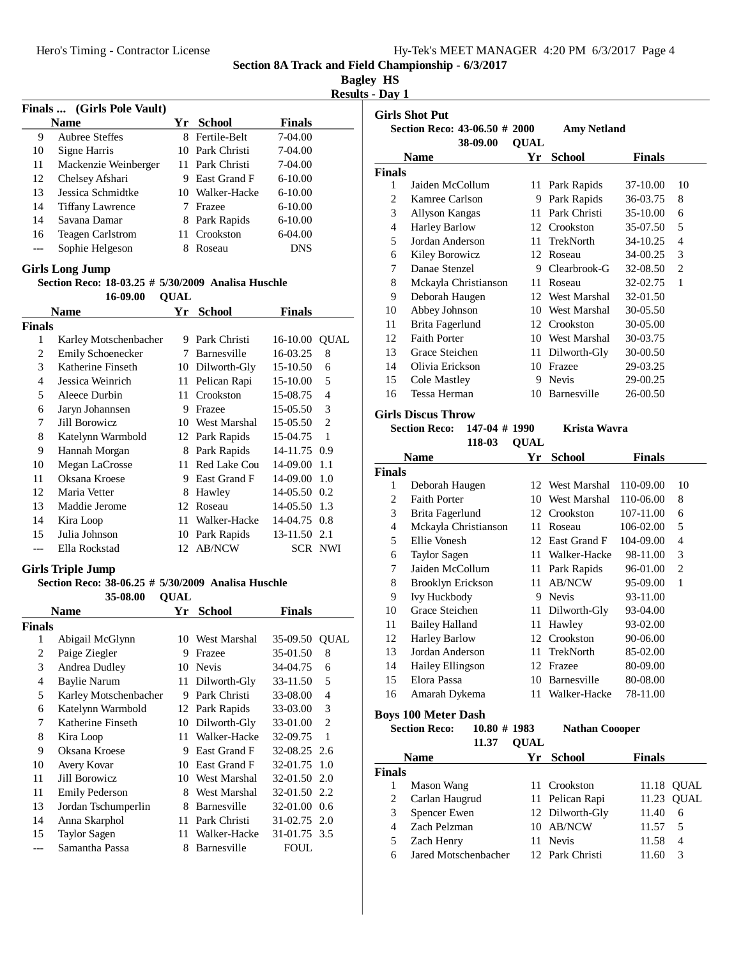|  | Hy-Tek's MEET MANAGER 4:20 PM 6/3/2017 Page 4 |  |  |
|--|-----------------------------------------------|--|--|
|  |                                               |  |  |

**Bagley HS**

**Results - Day 1**

|       |                            |    |                     |               | resu |
|-------|----------------------------|----|---------------------|---------------|------|
|       | Finals  (Girls Pole Vault) |    |                     |               |      |
|       | <b>Name</b>                | Yr | School              | <b>Finals</b> |      |
| 9     | Aubree Steffes             | 8. | Fertile-Belt        | 7-04.00       |      |
| 10    | Signe Harris               |    | 10 Park Christi     | 7-04.00       |      |
| 11    | Mackenzie Weinberger       |    | 11 Park Christi     | 7-04.00       |      |
| 12    | Chelsey Afshari            | 9  | <b>East Grand F</b> | $6 - 10.00$   |      |
| 13    | Jessica Schmidtke          |    | 10 Walker-Hacke     | $6 - 10.00$   |      |
| 14    | <b>Tiffany Lawrence</b>    |    | Frazee              | $6 - 10.00$   |      |
| 14    | Savana Damar               |    | 8 Park Rapids       | $6 - 10.00$   |      |
| 16    | <b>Teagen Carlstrom</b>    | 11 | Crookston           | $6-04.00$     |      |
| $---$ | Sophie Helgeson            |    | Roseau              | DNS           |      |
|       |                            |    |                     |               |      |

#### **Girls Long Jump**

#### **Section Reco: 18-03.25 # 5/30/2009 Analisa Huschle**

16-09.00 **QUAL** 

|                               | <b>Name</b>           | Yr | <b>School</b>      | Finals         |         |
|-------------------------------|-----------------------|----|--------------------|----------------|---------|
| Finals                        |                       |    |                    |                |         |
| 1                             | Karley Motschenbacher | 9  | Park Christi       | 16-10.00       | QUAL    |
| $\mathfrak{D}_{\mathfrak{p}}$ | Emily Schoenecker     | 7  | <b>Barnesville</b> | 16-03.25       | 8       |
| $\mathcal{F}$                 | Katherine Finseth     | 10 | Dilworth-Gly       | 15-10.50       | 6       |
| 4                             | Jessica Weinrich      | 11 | Pelican Rapi       | 15-10.00       | 5       |
| 5                             | Aleece Durbin         | 11 | Crookston          | 15-08.75       | 4       |
| 6                             | Jaryn Johannsen       | 9  | Frazee             | 15-05.50       | 3       |
| 7                             | Jill Borowicz         | 10 | West Marshal       | 15-05.50       | 2       |
| 8                             | Katelynn Warmbold     | 12 | Park Rapids        | 15-04.75       | 1       |
| 9                             | Hannah Morgan         | 8  | Park Rapids        | 14-11.75 0.9   |         |
| 10                            | Megan LaCrosse        | 11 | Red Lake Cou       | 14-09.00       | 1.1     |
| 11                            | Oksana Kroese         | 9  | East Grand F       | $14-09.00$ 1.0 |         |
| 12                            | Maria Vetter          | 8  | Hawley             | 14-05.50 0.2   |         |
| 13                            | Maddie Jerome         | 12 | Roseau             | 14-05.50       | -1.3    |
| 14                            | Kira Loop             | 11 | Walker-Hacke       | 14-04.75 0.8   |         |
| 15                            | Julia Johnson         | 10 | Park Rapids        | 13-11.50       | 2.1     |
|                               | Ella Rockstad         |    | 12 AB/NCW          |                | SCR NWI |

#### **Girls Triple Jump**

#### **Section Reco: 38-06.25 # 5/30/2009 Analisa Huschle**

**QUAL35-08.00 Name Yr School Finals Finals** 1 Abigail McGlynn 10 West Marshal 35-09.50 QUAL 2 Paige Ziegler 9 Frazee 35-01.50 8 3 Andrea Dudley 10 Nevis 34-04.75 6 4 Baylie Narum 11 Dilworth-Gly 33-11.50 5 5 Karley Motschenbacher 9 Park Christi 33-08.00 4 6 Katelynn Warmbold 12 Park Rapids 33-03.00 3 7 Katherine Finseth 10 Dilworth-Gly 33-01.00 2 8 Kira Loop 11 Walker-Hacke 32-09.75 1 9 Oksana Kroese 9 East Grand F 32-08.25 2.6 10 Avery Kovar 10 East Grand F 32-01.75 1.0 11 Jill Borowicz 10 West Marshal 32-01.50 2.0 11 Emily Pederson 8 West Marshal 32-01.50 2.2 13 Jordan Tschumperlin 8 Barnesville 32-01.00 0.6 14 Anna Skarphol 11 Park Christi 31-02.75 2.0 15 Taylor Sagen 11 Walker-Hacke 31-01.75 3.5 Samantha Passa 8 Barnesville FOUL

| <b>Girls Shot Put</b> |                               |                   |                    |               |                             |  |  |
|-----------------------|-------------------------------|-------------------|--------------------|---------------|-----------------------------|--|--|
|                       | Section Reco: 43-06.50 # 2000 |                   | <b>Amy Netland</b> |               |                             |  |  |
|                       | 38-09.00<br><b>Name</b>       | <b>OUAL</b><br>Yr | <b>School</b>      | <b>Finals</b> |                             |  |  |
| <b>Finals</b>         |                               |                   |                    |               |                             |  |  |
| 1                     | Jaiden McCollum               | 11                | Park Rapids        | 37-10.00      | 10                          |  |  |
| 2                     | Kamree Carlson                | 9                 | Park Rapids        | 36-03.75      | 8                           |  |  |
| 3                     | Allyson Kangas                | 11                | Park Christi       | 35-10.00      | 6                           |  |  |
| 4                     | <b>Harley Barlow</b>          | 12                | Crookston          | 35-07.50      | 5                           |  |  |
| 5                     | Jordan Anderson               | 11                | TrekNorth          | 34-10.25      | 4                           |  |  |
| 6                     | Kiley Borowicz                | 12                | Roseau             | 34-00.25      | 3                           |  |  |
| 7                     | Danae Stenzel                 | 9                 | Clearbrook-G       | 32-08.50      | $\mathcal{D}_{\mathcal{L}}$ |  |  |
| 8                     | Mckayla Christianson          | 11                | Roseau             | 32-02.75      | 1                           |  |  |
| 9                     | Deborah Haugen                | 12.               | West Marshal       | 32-01.50      |                             |  |  |
| 10                    | Abbey Johnson                 | 10                | West Marshal       | 30-05.50      |                             |  |  |
| 11                    | Brita Fagerlund               | 12                | Crookston          | 30-05.00      |                             |  |  |
| 12                    | <b>Faith Porter</b>           | 10                | West Marshal       | 30-03.75      |                             |  |  |
| 13                    | Grace Steichen                | 11                | Dilworth-Gly       | 30-00.50      |                             |  |  |
| 14                    | Olivia Erickson               | 10                | Frazee             | 29-03.25      |                             |  |  |
| 15                    | Cole Mastley                  | 9                 | <b>Nevis</b>       | 29-00.25      |                             |  |  |
| 16                    | Tessa Herman                  | 10                | Barnesville        | 26-00.50      |                             |  |  |

#### **Girls Discus Throw**

**Section Reco:** 147-04 # 1990 **Krista Wavra** 

|        | Name                  | Υr  | <b>School</b>   | <b>Finals</b> |    |
|--------|-----------------------|-----|-----------------|---------------|----|
| Finals |                       |     |                 |               |    |
| 1      | Deborah Haugen        |     | 12 West Marshal | 110-09.00     | 10 |
| 2      | <b>Faith Porter</b>   | 10  | West Marshal    | 110-06.00     | 8  |
| 3      | Brita Fagerlund       |     | 12 Crookston    | 107-11.00     | 6  |
| 4      | Mckayla Christianson  | 11  | Roseau          | 106-02.00     | 5  |
| 5      | Ellie Vonesh          |     | 12 East Grand F | 104-09.00     | 4  |
| 6      | <b>Taylor Sagen</b>   | 11  | Walker-Hacke    | 98-11.00      | 3  |
| 7      | Jaiden McCollum       | 11. | Park Rapids     | 96-01.00      | 2  |
| 8      | Brooklyn Erickson     | 11  | <b>AB/NCW</b>   | 95-09.00      | 1  |
| 9      | Ivy Huckbody          | 9.  | <b>Nevis</b>    | 93-11.00      |    |
| 10     | Grace Steichen        |     | 11 Dilworth-Gly | 93-04.00      |    |
| 11     | <b>Bailey Halland</b> | 11  | Hawley          | 93-02.00      |    |
| 12     | <b>Harley Barlow</b>  |     | 12 Crookston    | 90-06.00      |    |
| 13     | Jordan Anderson       |     | 11 TrekNorth    | 85-02.00      |    |
| 14     | Hailey Ellingson      |     | 12 Frazee       | 80-09.00      |    |
| 15     | Elora Passa           | 10  | Barnesville     | 80-08.00      |    |
| 16     | Amarah Dykema         | 11. | Walker-Hacke    | 78-11.00      |    |
|        |                       |     |                 |               |    |

**Boys 100 Meter Dash**

**Section Reco:** 10.80 # 1983 Nathan Coooper 11.37 **QUAL Name Yr School Finals Finals** 1 Mason Wang 11 Crookston 11.18 QUAL 2 Carlan Haugrud 11 Pelican Rapi 11.23 QUAL 3 Spencer Ewen 12 Dilworth-Gly 11.40 6 4 Zach Pelzman 10 AB/NCW 11.57 5 5 Zach Henry 11 Nevis 11.58 4 6 Jared Motschenbacher 12 Park Christi 11.60 3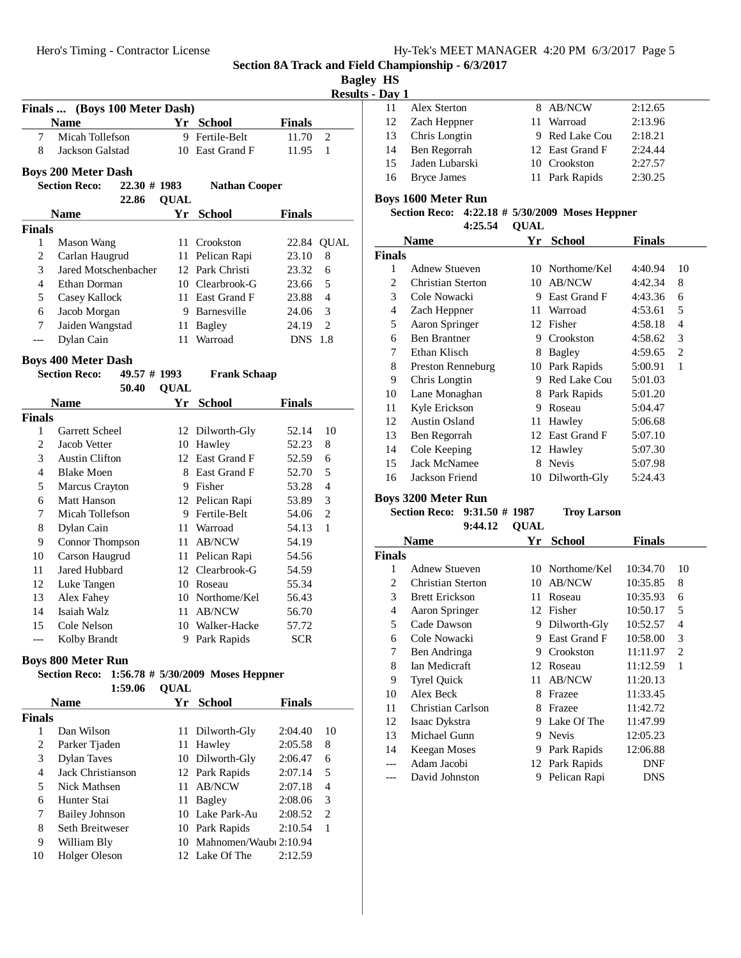**Name Yr School Finals** 7 Micah Tollefson 9 Fertile-Belt 11.70 2 8 Jackson Galstad 10 East Grand F 11.95 1

**Name Yr School Finals**

1 Mason Wang 11 Crookston 22.84 QUAL 2 Carlan Haugrud 11 Pelican Rapi 23.10 8 3 Jared Motschenbacher 12 Park Christi 23.32 6 4 Ethan Dorman 10 Clearbrook-G 23.66 5 5 Casey Kallock 11 East Grand F 23.88 4 6 Jacob Morgan 9 Barnesville 24.06 3 7 Jaiden Wangstad 11 Bagley 24.19 2 --- Dylan Cain 11 Warroad DNS 1.8

Section Reco: 22.30 # 1983 Nathan Cooper 22.86 **QUAL** 

**Section Reco:** 49.57 # 1993 **Frank Schaap** 50.40 **QUAL** 

**Name Yr School Finals**

Garrett Scheel 12 Dilworth-Gly 52.14 10 2 Jacob Vetter 10 Hawley 52.23 8 3 Austin Clifton 12 East Grand F 52.59 6 4 Blake Moen 8 East Grand F 52.70 5 5 Marcus Crayton 9 Fisher 53.28 4 6 Matt Hanson 12 Pelican Rapi 53.89 3 7 Micah Tollefson 9 Fertile-Belt 54.06 2 8 Dylan Cain 11 Warroad 54.13 1 9 Connor Thompson 11 AB/NCW 54.19 10 Carson Haugrud 11 Pelican Rapi 54.56 11 Jared Hubbard 12 Clearbrook-G 54.59 12 Luke Tangen 10 Roseau 55.34 13 Alex Fahey 10 Northome/Kel 56.43 14 Isaiah Walz 11 AB/NCW 56.70 15 Cole Nelson 10 Walker-Hacke 57.72 --- Kolby Brandt 9 Park Rapids SCR

**Finals ... (Boys 100 Meter Dash)**

**Boys 200 Meter Dash**

**Boys 400 Meter Dash**

**Finals**

**Finals**

**Section 8A Track and Field Championship - 6/3/2017**

| Baglev | нs |
|--------|----|
|        |    |

| <b>Results - Day 1</b> |  |
|------------------------|--|
|------------------------|--|

| Dav 1 |                     |                 |         |
|-------|---------------------|-----------------|---------|
| 11    | <b>Alex Sterton</b> | 8 AB/NCW        | 2:12.65 |
| 12    | Zach Heppner        | 11 Warroad      | 2:13.96 |
| 13    | Chris Longtin       | 9 Red Lake Cou  | 2:18.21 |
| 14    | Ben Regorrah        | 12 East Grand F | 2:24.44 |
| 15    | Jaden Lubarski      | 10 Crookston    | 2:27.57 |
| 16    | <b>Bryce James</b>  | 11 Park Rapids  | 2:30.25 |
|       |                     |                 |         |

#### **Boys 1600 Meter Run**

#### **Section Reco:** 4:22.18 # 5/30/2009 Moses Heppner **QUAL4:25.54**

| Name   |                     | Yr | <b>School</b>   | <b>Finals</b> |                |
|--------|---------------------|----|-----------------|---------------|----------------|
| Finals |                     |    |                 |               |                |
| 1      | Adnew Stueven       |    | 10 Northome/Kel | 4:40.94       | 10             |
| 2      | Christian Sterton   | 10 | <b>AB/NCW</b>   | 4:42.34       | 8              |
| 3      | Cole Nowacki        | 9  | East Grand F    | 4:43.36       | 6              |
| 4      | Zach Heppner        | 11 | Warroad         | 4:53.61       | 5              |
| 5      | Aaron Springer      | 12 | Fisher          | 4:58.18       | 4              |
| 6      | <b>Ben Brantner</b> | 9  | Crookston       | 4:58.62       | 3              |
| 7      | Ethan Klisch        | 8  | Bagley          | 4:59.65       | $\overline{2}$ |
| 8      | Preston Renneburg   | 10 | Park Rapids     | 5:00.91       | 1              |
| 9      | Chris Longtin       | 9  | Red Lake Cou    | 5:01.03       |                |
| 10     | Lane Monaghan       | 8  | Park Rapids     | 5:01.20       |                |
| 11     | Kyle Erickson       | 9  | Roseau          | 5:04.47       |                |
| 12     | Austin Osland       | 11 | Hawley          | 5:06.68       |                |
| 13     | Ben Regorrah        | 12 | East Grand F    | 5:07.10       |                |
| 14     | Cole Keeping        |    | 12 Hawley       | 5:07.30       |                |
| 15     | Jack McNamee        | 8  | Nevis           | 5:07.98       |                |
| 16     | Jackson Friend      | 10 | Dilworth-Gly    | 5:24.43       |                |

#### **Boys 3200 Meter Run**

| Section Reco: 9:31.50 # 1987 |  | <b>Troy Larson</b> |
|------------------------------|--|--------------------|
|------------------------------|--|--------------------|

| 9:44.12 | <b>QUAL</b> |  |  |
|---------|-------------|--|--|
|         |             |  |  |

| Name          |                          | Үr  | <b>School</b> | Finals     |                |
|---------------|--------------------------|-----|---------------|------------|----------------|
| <b>Finals</b> |                          |     |               |            |                |
| 1             | <b>Adnew Stueven</b>     | 10- | Northome/Kel  | 10:34.70   | 10             |
| 2             | <b>Christian Sterton</b> | 10  | <b>AB/NCW</b> | 10:35.85   | 8              |
| 3             | <b>Brett Erickson</b>    | 11  | Roseau        | 10:35.93   | 6              |
| 4             | Aaron Springer           | 12  | Fisher        | 10:50.17   | 5              |
| 5             | Cade Dawson              | 9   | Dilworth-Gly  | 10:52.57   | 4              |
| 6             | Cole Nowacki             | 9   | East Grand F  | 10:58.00   | 3              |
| 7             | Ben Andringa             | 9   | Crookston     | 11:11.97   | $\overline{c}$ |
| 8             | Ian Medicraft            | 12  | Roseau        | 11:12.59   | 1              |
| 9             | <b>Tyrel Quick</b>       | 11  | <b>AB/NCW</b> | 11:20.13   |                |
| 10            | Alex Beck                | 8   | Frazee        | 11:33.45   |                |
| 11            | Christian Carlson        | 8   | Frazee        | 11:42.72   |                |
| 12            | Isaac Dykstra            | 9   | Lake Of The   | 11:47.99   |                |
| 13            | Michael Gunn             | 9   | <b>Nevis</b>  | 12:05.23   |                |
| 14            | Keegan Moses             | 9   | Park Rapids   | 12:06.88   |                |
|               | Adam Jacobi              | 12  | Park Rapids   | DNF        |                |
|               | David Johnston           | 9   | Pelican Rapi  | <b>DNS</b> |                |

| <b>Boys 800 Meter Run</b> |                |                                                 |
|---------------------------|----------------|-------------------------------------------------|
|                           |                | Section Reco: 1:56.78 # 5/30/2009 Moses Heppner |
|                           | $1.59~06$ OUAL |                                                 |

|               | 1.39.00               | VUAL |                           |               |                             |
|---------------|-----------------------|------|---------------------------|---------------|-----------------------------|
|               | <b>Name</b>           | Yr.  | School                    | <b>Finals</b> |                             |
| <b>Finals</b> |                       |      |                           |               |                             |
|               | Dan Wilson            |      | 11 Dilworth-Gly           | 2:04.40       | 10                          |
| 2             | Parker Tjaden         |      | 11 Hawley                 | 2:05.58       | 8                           |
| 3             | <b>Dylan Taves</b>    |      | 10 Dilworth-Gly           | 2:06.47       | 6                           |
| 4             | Jack Christianson     |      | 12 Park Rapids            | 2:07.14       | 5                           |
| 5             | Nick Mathsen          |      | 11 AB/NCW                 | 2:07.18       | 4                           |
| 6             | Hunter Stai           | 11-  | Bagley                    | 2:08.06       | 3                           |
| 7             | <b>Bailey Johnson</b> |      | 10 Lake Park-Au           | 2:08.52       | $\mathcal{D}_{\mathcal{L}}$ |
| 8             | Seth Breitweser       |      | 10 Park Rapids            | 2:10.54       | 1                           |
| 9             | William Bly           |      | 10 Mahnomen/Waubi 2:10.94 |               |                             |
| 10            | Holger Oleson         |      | 12 Lake Of The            | 2:12.59       |                             |
|               |                       |      |                           |               |                             |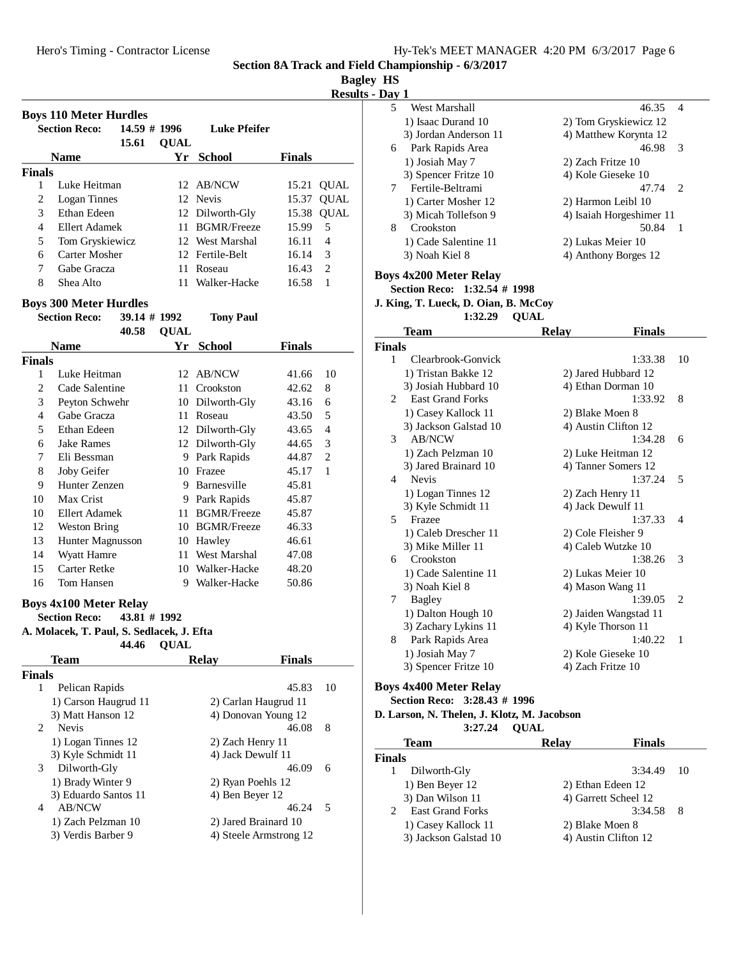**Bagley HS**

**Results - D** 

|                | <b>Boys 110 Meter Hurdles</b><br><b>Section Reco:</b><br>$14.59$ # 1996 |             | <b>Luke Pfeifer</b>    |               |                |
|----------------|-------------------------------------------------------------------------|-------------|------------------------|---------------|----------------|
|                | 15.61                                                                   | <b>QUAL</b> |                        |               |                |
|                | <b>Name</b>                                                             |             | Yr School              | <b>Finals</b> |                |
| <b>Finals</b>  |                                                                         |             |                        |               |                |
| 1              | Luke Heitman                                                            |             | 12 AB/NCW              | 15.21         | <b>QUAL</b>    |
| $\mathfrak{2}$ | Logan Tinnes                                                            |             | 12 Nevis               | 15.37         | <b>QUAL</b>    |
| 3              | Ethan Edeen                                                             |             | 12 Dilworth-Gly        | 15.38         | <b>QUAL</b>    |
| 4              | <b>Ellert Adamek</b>                                                    |             | 11 BGMR/Freeze         | 15.99         | 5              |
| 5              | Tom Gryskiewicz                                                         |             | 12 West Marshal        | 16.11         | $\overline{4}$ |
| 6              | Carter Mosher                                                           |             | 12 Fertile-Belt        | 16.14         | 3              |
| 7              | Gabe Gracza                                                             | 11          | Roseau                 | 16.43         | $\overline{c}$ |
| 8              | Shea Alto                                                               | 11          | Walker-Hacke           | 16.58         | 1              |
|                |                                                                         |             |                        |               |                |
|                | <b>Boys 300 Meter Hurdles</b>                                           |             |                        |               |                |
|                | <b>Section Reco:</b><br>39.14 # 1992                                    |             | <b>Tony Paul</b>       |               |                |
|                | 40.58                                                                   | <b>QUAL</b> |                        |               |                |
|                | <b>Name</b>                                                             |             | Yr School              | <b>Finals</b> |                |
| Finals         |                                                                         |             |                        |               |                |
| 1              | Luke Heitman                                                            |             | 12 AB/NCW              | 41.66         | 10             |
| $\overline{c}$ | Cade Salentine                                                          |             | 11 Crookston           | 42.62         | 8              |
| 3              | Peyton Schwehr                                                          |             | 10 Dilworth-Gly        | 43.16         | 6              |
| 4              | Gabe Gracza                                                             |             | 11 Roseau              | 43.50         | 5              |
| 5              | Ethan Edeen                                                             |             | 12 Dilworth-Gly        | 43.65         | $\overline{4}$ |
| 6              | <b>Jake Rames</b>                                                       |             | 12 Dilworth-Gly        | 44.65         | 3              |
| 7              | Eli Bessman                                                             |             | 9 Park Rapids          | 44.87         | $\overline{c}$ |
| 8              | Joby Geifer                                                             |             | 10 Frazee              | 45.17         | 1              |
| 9              | Hunter Zenzen                                                           |             | 9 Barnesville          | 45.81         |                |
| 10             | Max Crist                                                               |             | 9 Park Rapids          | 45.87         |                |
| 10             | <b>Ellert Adamek</b>                                                    |             | 11 BGMR/Freeze         | 45.87         |                |
| 12             | <b>Weston Bring</b>                                                     |             | 10 BGMR/Freeze         | 46.33         |                |
| 13             | Hunter Magnusson                                                        |             | 10 Hawley              | 46.61         |                |
| 14             | Wyatt Hamre                                                             |             | 11 West Marshal        | 47.08         |                |
| 15             | <b>Carter Retke</b>                                                     |             | 10 Walker-Hacke        | 48.20         |                |
| 16             | Tom Hansen                                                              |             | 9 Walker-Hacke         | 50.86         |                |
|                |                                                                         |             |                        |               |                |
|                | <b>Boys 4x100 Meter Relay</b><br>43.81 # 1992                           |             |                        |               |                |
|                | <b>Section Reco:</b>                                                    |             |                        |               |                |
|                | A. Molacek, T. Paul, S. Sedlacek, J. Efta<br>44.46                      | QUAL        |                        |               |                |
|                | Team                                                                    |             | <b>Relay</b>           | <b>Finals</b> |                |
| Finals         |                                                                         |             |                        |               |                |
| 1              | Pelican Rapids                                                          |             |                        | 45.83         | 10             |
|                | 1) Carson Haugrud 11                                                    |             | 2) Carlan Haugrud 11   |               |                |
|                | 3) Matt Hanson 12                                                       |             | 4) Donovan Young 12    |               |                |
| 2              | Nevis                                                                   |             |                        | 46.08         | 8              |
|                | 1) Logan Tinnes 12                                                      |             | 2) Zach Henry 11       |               |                |
|                | 3) Kyle Schmidt 11                                                      |             | 4) Jack Dewulf 11      |               |                |
| 3              | Dilworth-Gly                                                            |             |                        | 46.09         | 6              |
|                | 1) Brady Winter 9                                                       |             | 2) Ryan Poehls 12      |               |                |
|                | 3) Eduardo Santos 11                                                    |             | 4) Ben Beyer 12        |               |                |
| 4              | AB/NCW                                                                  |             |                        | 46.24         | 5              |
|                | 1) Zach Pelzman 10                                                      |             | 2) Jared Brainard 10   |               |                |
|                | 3) Verdis Barber 9                                                      |             | 4) Steele Armstrong 12 |               |                |
|                |                                                                         |             |                        |               |                |
|                |                                                                         |             |                        |               |                |

| Day 1 |                        |                          |
|-------|------------------------|--------------------------|
| 5     | West Marshall          | 46.35<br>4               |
|       | 1) Isaac Durand 10     | 2) Tom Gryskiewicz 12    |
|       | 3) Jordan Anderson 11  | 4) Matthew Korynta 12    |
| 6     | Park Rapids Area       | -3<br>46.98              |
|       | 1) Josiah May 7        | 2) Zach Fritze 10        |
|       | 3) Spencer Fritze 10   | 4) Kole Gieseke 10       |
| 7     | Fertile-Beltrami       | 47.74<br>$\mathcal{L}$   |
|       | 1) Carter Mosher 12    | 2) Harmon Leibl 10       |
|       | 3) Micah Tollefson 9   | 4) Isaiah Horgeshimer 11 |
| 8     | Crookston              | 50.84<br>$\overline{1}$  |
|       | 1) Cade Salentine 11   | 2) Lukas Meier 10        |
|       | 3) Noah Kiel 8         | 4) Anthony Borges 12     |
|       | Boys 4x200 Meter Relay |                          |

# **Section Reco: 1:32.54 # 1998**

**J. King, T. Lueck, D. Oian, B. McCoy**

# 1:32.29 **QUAL**

|                | Team                    | <b>Relay</b>      | <b>Finals</b>         |                          |
|----------------|-------------------------|-------------------|-----------------------|--------------------------|
| <b>Finals</b>  |                         |                   |                       |                          |
| 1              | Clearbrook-Gonvick      |                   | 1:33.38               | 10                       |
|                | 1) Tristan Bakke 12     |                   | 2) Jared Hubbard 12   |                          |
|                | 3) Josiah Hubbard 10    |                   | 4) Ethan Dorman 10    |                          |
| $\mathfrak{D}$ | <b>East Grand Forks</b> |                   | 1:33.92               | 8                        |
|                | 1) Casey Kallock 11     | 2) Blake Moen 8   |                       |                          |
|                | 3) Jackson Galstad 10   |                   | 4) Austin Clifton 12  |                          |
| 3              | <b>AB/NCW</b>           |                   | 1:34.28               | 6                        |
|                | 1) Zach Pelzman 10      |                   | 2) Luke Heitman 12    |                          |
|                | 3) Jared Brainard 10    |                   | 4) Tanner Somers 12   |                          |
| 4              | <b>Nevis</b>            |                   | 1:37.24               | 5                        |
|                | 1) Logan Tinnes 12      | 2) Zach Henry 11  |                       |                          |
|                | 3) Kyle Schmidt 11      |                   | 4) Jack Dewulf 11     |                          |
| 5              | Frazee                  |                   | 1:37.33               | $\overline{\mathcal{A}}$ |
|                | 1) Caleb Drescher 11    |                   | 2) Cole Fleisher 9    |                          |
|                | 3) Mike Miller 11       |                   | 4) Caleb Wutzke 10    |                          |
| 6              | Crookston               |                   | 1:38.26               | 3                        |
|                | 1) Cade Salentine 11    |                   | 2) Lukas Meier 10     |                          |
|                | 3) Noah Kiel 8          |                   | 4) Mason Wang 11      |                          |
| 7              | Bagley                  |                   | 1:39.05               | 2                        |
|                | 1) Dalton Hough 10      |                   | 2) Jaiden Wangstad 11 |                          |
|                | 3) Zachary Lykins 11    |                   | 4) Kyle Thorson 11    |                          |
| 8              | Park Rapids Area        |                   | 1:40.22               | $\mathbf{1}$             |
|                | 1) Josiah May 7         |                   | 2) Kole Gieseke 10    |                          |
|                | 3) Spencer Fritze 10    | 4) Zach Fritze 10 |                       |                          |
|                |                         |                   |                       |                          |

# **Boys 4x400 Meter Relay**

# **Section Reco: 3:28.43 # 1996**

**D. Larson, N. Thelen, J. Klotz, M. Jacobson**

3:27.24 **QUAL** 

| <b>Team</b>                                            | <b>Relay</b>    | <b>Finals</b>        |    |
|--------------------------------------------------------|-----------------|----------------------|----|
| <b>Finals</b>                                          |                 |                      |    |
| Dilworth-Gly                                           |                 | 3:34.49              | 10 |
| 1) Ben Beyer 12                                        |                 | 2) Ethan Edeen 12    |    |
| 3) Dan Wilson 11                                       |                 | 4) Garrett Scheel 12 |    |
| <b>East Grand Forks</b><br>$\mathcal{D}_{\mathcal{L}}$ |                 | 3:34.58              | 8  |
| 1) Casey Kallock 11                                    | 2) Blake Moen 8 |                      |    |
| 3) Jackson Galstad 10                                  |                 | 4) Austin Clifton 12 |    |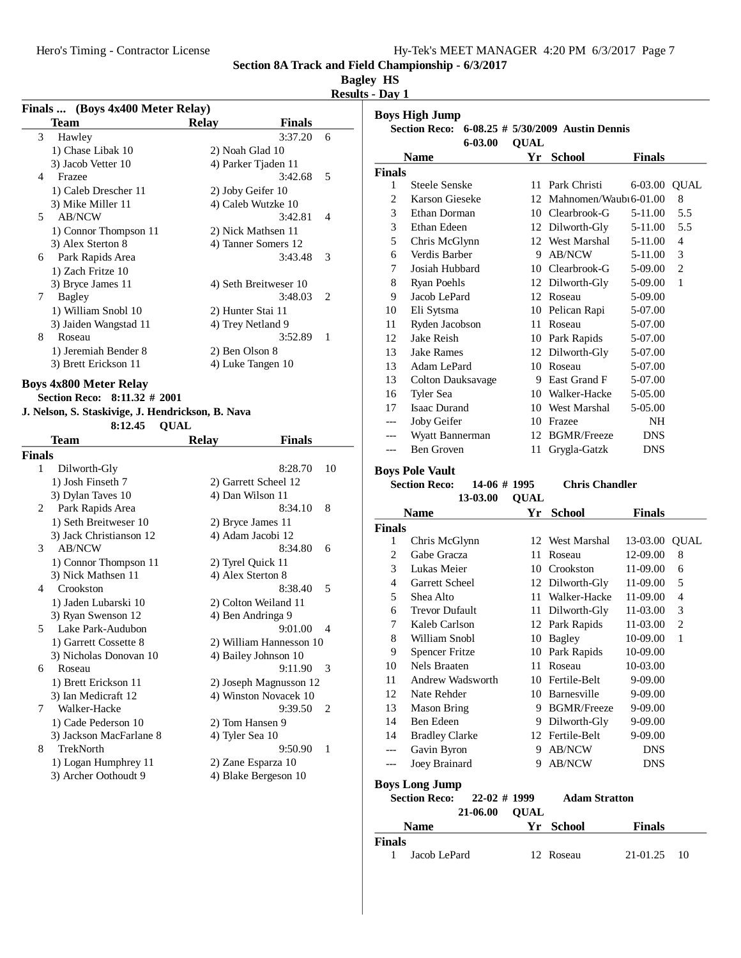| Hy-Tek's MEET MANAGER 4:20 PM 6/3/2017 Page 7 |  |  |
|-----------------------------------------------|--|--|
|                                               |  |  |

# **Bagley HS**

| <b>Results - Day 1</b> |  |
|------------------------|--|
|------------------------|--|

|    | Finals  (Boys 4x400 Meter Relay) |                     |                       |   |
|----|----------------------------------|---------------------|-----------------------|---|
|    | Team                             | Relay               | <b>Finals</b>         |   |
| 3  | Hawley                           |                     | 3:37.20               | 6 |
|    | 1) Chase Libak 10                | 2) Noah Glad 10     |                       |   |
|    | 3) Jacob Vetter 10               | 4) Parker Tjaden 11 |                       |   |
| 4  | Frazee                           |                     | 3:42.68               | 5 |
|    | 1) Caleb Drescher 11             | 2) Joby Geifer 10   |                       |   |
|    | 3) Mike Miller 11                | 4) Caleb Wutzke 10  |                       |   |
| 5. | <b>AB/NCW</b>                    |                     | 3:42.81               | 4 |
|    | 1) Connor Thompson 11            | 2) Nick Mathsen 11  |                       |   |
|    | 3) Alex Sterton 8                |                     | 4) Tanner Somers 12   |   |
| 6  | Park Rapids Area                 |                     | 3:43.48               | 3 |
|    | 1) Zach Fritze 10                |                     |                       |   |
|    | 3) Bryce James 11                |                     | 4) Seth Breitweser 10 |   |
| 7  | Bagley                           |                     | 3:48.03               | 2 |
|    | 1) William Snobl 10              | 2) Hunter Stai 11   |                       |   |
|    | 3) Jaiden Wangstad 11            | 4) Trey Netland 9   |                       |   |
| 8  | Roseau                           |                     | 3:52.89               | 1 |
|    | 1) Jeremiah Bender 8             | 2) Ben Olson 8      |                       |   |
|    | 3) Brett Erickson 11             | 4) Luke Tangen 10   |                       |   |

# **Boys 4x800 Meter Relay**

**Section Reco: 8:11.32 # 2001**

# **J. Nelson, S. Staskivige, J. Hendrickson, B. Nava**

8:12.45 **QUAL** 

|               | Team                    | <b>Relay</b>      | <b>Finals</b>             |
|---------------|-------------------------|-------------------|---------------------------|
| <b>Finals</b> |                         |                   |                           |
| 1             | Dilworth-Gly            |                   | 8:28.70<br>10             |
|               | 1) Josh Finseth 7       |                   | 2) Garrett Scheel 12      |
|               | 3) Dylan Taves 10       | 4) Dan Wilson 11  |                           |
| 2             | Park Rapids Area        |                   | 8<br>8:34.10              |
|               | 1) Seth Breitweser 10   | 2) Bryce James 11 |                           |
|               | 3) Jack Christianson 12 | 4) Adam Jacobi 12 |                           |
| 3             | <b>AB/NCW</b>           |                   | 8:34.80<br>6              |
|               | 1) Connor Thompson 11   | 2) Tyrel Quick 11 |                           |
|               | 3) Nick Mathsen 11      | 4) Alex Sterton 8 |                           |
| 4             | Crookston               |                   | 8:38.40<br>5              |
|               | 1) Jaden Lubarski 10    |                   | 2) Colton Weiland 11      |
|               | 3) Ryan Swenson 12      | 4) Ben Andringa 9 |                           |
| 5             | Lake Park-Audubon       |                   | 9:01.00<br>$\overline{A}$ |
|               | 1) Garrett Cossette 8   |                   | 2) William Hannesson 10   |
|               | 3) Nicholas Donovan 10  |                   | 4) Bailey Johnson 10      |
| 6             | Roseau                  |                   | 9:11.90<br>3              |
|               | 1) Brett Erickson 11    |                   | 2) Joseph Magnusson 12    |
|               | 3) Ian Medicraft 12     |                   | 4) Winston Novacek 10     |
| 7             | Walker-Hacke            |                   | 9:39.50<br>2              |
|               | 1) Cade Pederson 10     | 2) Tom Hansen 9   |                           |
|               | 3) Jackson MacFarlane 8 | 4) Tyler Sea 10   |                           |
| 8             | TrekNorth               |                   | 9:50.90<br>1              |
|               | 1) Logan Humphrey 11    |                   | 2) Zane Esparza 10        |
|               | 3) Archer Oothoudt 9    |                   | 4) Blake Bergeson 10      |
|               |                         |                   |                           |

|                | <b>Boys High Jump</b>    |             |                                      |            |                |
|----------------|--------------------------|-------------|--------------------------------------|------------|----------------|
|                | <b>Section Reco:</b>     |             | 6-08.25 $\#$ 5/30/2009 Austin Dennis |            |                |
|                | $6 - 03.00$              | <b>QUAL</b> |                                      |            |                |
|                | <b>Name</b>              | Yr          | <b>School</b>                        | Finals     |                |
| <b>Finals</b>  |                          |             |                                      |            |                |
| 1              | Steele Senske            | 11          | Park Christi                         | 6-03.00    | <b>QUAL</b>    |
| $\overline{2}$ | Karson Gieseke           | 12          | Mahnomen/Waubu 6-01.00               |            | 8              |
| 3              | Ethan Dorman             |             | 10 Clearbrook-G                      | 5-11.00    | 5.5            |
| 3              | Ethan Edeen              |             | 12 Dilworth-Gly                      | 5-11.00    | 5.5            |
| 5              | Chris McGlynn            |             | 12 West Marshal                      | 5-11.00    | $\overline{4}$ |
| 6              | Verdis Barber            | 9           | AB/NCW                               | 5-11.00    | 3              |
| 7              | Josiah Hubbard           | 10          | Clearbrook-G                         | 5-09.00    | 2              |
| 8              | Ryan Poehls              | 12          | Dilworth-Gly                         | 5-09.00    | 1              |
| 9              | Jacob LePard             | 12          | Roseau                               | 5-09.00    |                |
| 10             | Eli Sytsma               | 10          | Pelican Rapi                         | 5-07.00    |                |
| 11             | Ryden Jacobson           | 11          | Roseau                               | 5-07.00    |                |
| 12             | Jake Reish               | 10          | Park Rapids                          | 5-07.00    |                |
| 13             | Jake Rames               | 12          | Dilworth-Gly                         | 5-07.00    |                |
| 13             | Adam LePard              | 10          | Roseau                               | 5-07.00    |                |
| 13             | <b>Colton Dauksavage</b> | 9           | East Grand F                         | 5-07.00    |                |
| 16             | Tyler Sea                | 10          | Walker-Hacke                         | 5-05.00    |                |
| 17             | <b>Isaac Durand</b>      |             | 10 West Marshal                      | 5-05.00    |                |
| ---            | Joby Geifer              | 10          | Frazee                               | NH         |                |
|                | Wyatt Bannerman          | 12          | <b>BGMR/Freeze</b>                   | <b>DNS</b> |                |
|                | <b>Ben Groven</b>        | 11          | Grygla-Gatzk                         | <b>DNS</b> |                |
|                |                          |             |                                      |            |                |

# **Boys Pole Vault**

13-03.00 **QUAL** 

**14-06 # 1995 Chris Chandler** 

|                | Name                  | Yr | <b>School</b>      | Finals     |                |
|----------------|-----------------------|----|--------------------|------------|----------------|
| <b>Finals</b>  |                       |    |                    |            |                |
| 1              | Chris McGlynn         |    | 12 West Marshal    | 13-03.00   | <b>QUAL</b>    |
| $\mathfrak{2}$ | Gabe Gracza           | 11 | Roseau             | 12-09.00   | 8              |
| 3              | Lukas Meier           | 10 | Crookston          | 11-09.00   | 6              |
| 4              | Garrett Scheel        | 12 | Dilworth-Gly       | 11-09.00   | 5              |
| 5              | Shea Alto             | 11 | Walker-Hacke       | 11-09.00   | 4              |
| 6              | Trevor Dufault        | 11 | Dilworth-Gly       | 11-03.00   | 3              |
| 7              | Kaleb Carlson         | 12 | Park Rapids        | 11-03.00   | $\overline{c}$ |
| 8              | William Snobl         | 10 | Bagley             | 10-09.00   | 1              |
| 9              | <b>Spencer Fritze</b> | 10 | Park Rapids        | 10-09.00   |                |
| 10             | Nels Braaten          | 11 | Roseau             | 10-03.00   |                |
| 11             | Andrew Wadsworth      | 10 | Fertile-Belt       | 9-09.00    |                |
| 12             | Nate Rehder           | 10 | <b>Barnesville</b> | 9-09.00    |                |
| 13             | Mason Bring           | 9  | <b>BGMR/Freeze</b> | 9-09.00    |                |
| 14             | Ben Edeen             | 9  | Dilworth-Gly       | 9-09.00    |                |
| 14             | <b>Bradley Clarke</b> | 12 | Fertile-Belt       | 9-09.00    |                |
| ---            | Gavin Byron           | 9  | <b>AB/NCW</b>      | <b>DNS</b> |                |
|                | Joey Brainard         | 9  | <b>AB/NCW</b>      | <b>DNS</b> |                |
|                | <b>Boys Long Jump</b> |    |                    |            |                |

| <b>Section Reco:</b> | $22-02 \# 1999$ | <b>Adam Stratton</b> |               |
|----------------------|-----------------|----------------------|---------------|
|                      | 21-06.00 OUAL   |                      |               |
| <b>Name</b>          |                 | Yr School            | <b>Finals</b> |

|               | .            | TI DUNUM  | * ****** |    |
|---------------|--------------|-----------|----------|----|
| <b>Finals</b> |              |           |          |    |
|               | Jacob LePard | 12 Roseau | 21-01.25 | 10 |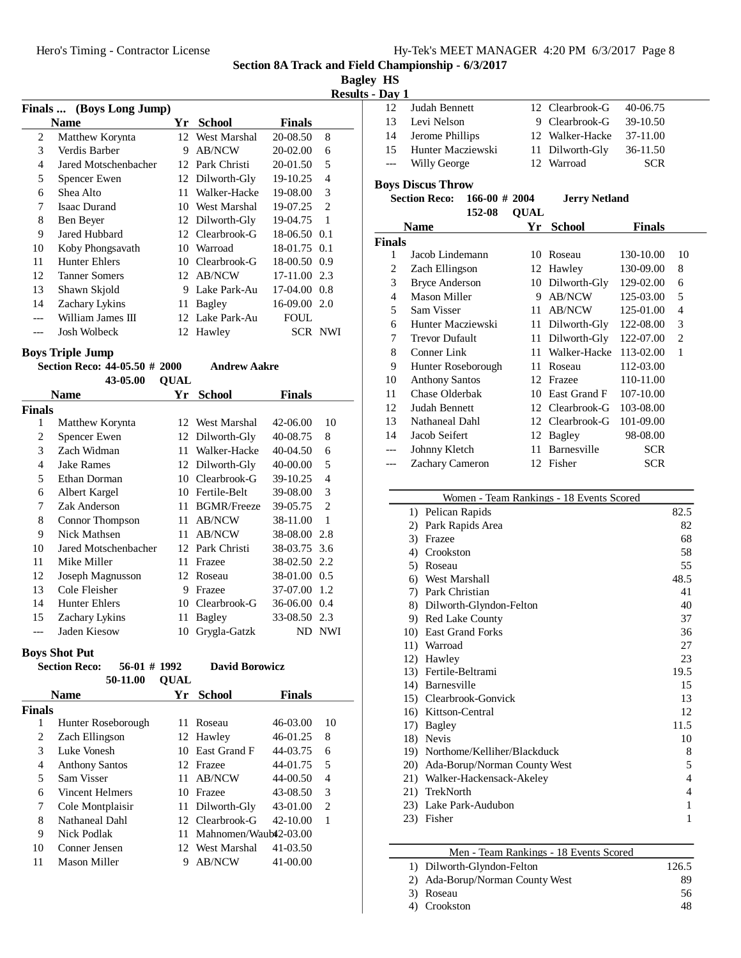**Bagley HS**

**Results - Day 1**

|    | Finals  (Boys Long Jump) |     |                 |                  |                |
|----|--------------------------|-----|-----------------|------------------|----------------|
|    | <b>Name</b>              | Yr. | <b>School</b>   | <b>Finals</b>    |                |
| 2  | Matthew Korynta          |     | 12 West Marshal | 20-08.50         | 8              |
| 3  | Verdis Barber            | 9   | AB/NCW          | 20-02.00         | 6              |
| 4  | Jared Motschenbacher     |     | 12 Park Christi | 20-01.50         | 5              |
| 5  | Spencer Ewen             |     | 12 Dilworth-Gly | 19-10.25         | 4              |
| 6  | Shea Alto                |     | 11 Walker-Hacke | 19-08.00         | 3              |
| 7  | <b>Isaac Durand</b>      |     | 10 West Marshal | 19-07.25         | $\overline{2}$ |
| 8  | Ben Beyer                |     | 12 Dilworth-Gly | 19-04.75         | $\overline{1}$ |
| 9  | Jared Hubbard            |     | 12 Clearbrook-G | 18-06.50 0.1     |                |
| 10 | Koby Phongsavath         | 10  | Warroad         | 18-01.75 0.1     |                |
| 11 | <b>Hunter Ehlers</b>     |     | 10 Clearbrook-G | 18-00.50 0.9     |                |
| 12 | <b>Tanner Somers</b>     |     | 12 AB/NCW       | 17-11.00 2.3     |                |
| 13 | Shawn Skjold             | 9   | Lake Park-Au    | $17-04.00$ $0.8$ |                |
| 14 | Zachary Lykins           | 11  | Bagley          | $16-09.00$ 2.0   |                |
|    | William James III        |     | 12 Lake Park-Au | FOUL             |                |
|    | <b>Josh Wolbeck</b>      |     | 12 Hawley       |                  | SCR NWI        |

# **Boys Triple Jump**

|                | роўэ тгіріс ошіір             |             |                     |              |                |
|----------------|-------------------------------|-------------|---------------------|--------------|----------------|
|                | Section Reco: 44-05.50 # 2000 |             | <b>Andrew Aakre</b> |              |                |
|                | 43-05.00                      | <b>QUAL</b> |                     |              |                |
|                | Name                          | Yr          | <b>School</b>       | Finals       |                |
| Finals         |                               |             |                     |              |                |
| 1              | Matthew Korynta               |             | 12 West Marshal     | 42-06.00     | 10             |
| 2              | Spencer Ewen                  | 12          | Dilworth-Gly        | 40-08.75     | 8              |
| 3              | Zach Widman                   | 11          | Walker-Hacke        | 40-04.50     | 6              |
| $\overline{4}$ | <b>Jake Rames</b>             | 12          | Dilworth-Gly        | 40-00.00     | 5              |
| 5              | Ethan Dorman                  | 10          | Clearbrook-G        | 39-10.25     | $\overline{4}$ |
| 6              | Albert Kargel                 | 10          | Fertile-Belt        | 39-08.00     | 3              |
| 7              | Zak Anderson                  | 11          | <b>BGMR/Freeze</b>  | 39-05.75     | $\overline{c}$ |
| 8              | Connor Thompson               | 11          | <b>AB/NCW</b>       | 38-11.00     | $\mathbf{1}$   |
| 9              | Nick Mathsen                  | 11          | <b>AB/NCW</b>       | 38-08.00     | 2.8            |
| 10             | Jared Motschenbacher          |             | 12 Park Christi     | 38-03.75     | 3.6            |
| 11             | Mike Miller                   | 11          | Frazee              | 38-02.50 2.2 |                |
| 12             | Joseph Magnusson              | 12          | Roseau              | 38-01.00 0.5 |                |
| 13             | Cole Fleisher                 | 9           | Frazee              | 37-07.00     | 1.2            |
| 14             | <b>Hunter Ehlers</b>          | 10          | Clearbrook-G        | 36-06.00     | 0.4            |
| 15             | Zachary Lykins                | 11          | Bagley              | 33-08.50     | 2.3            |
|                | Jaden Kiesow                  | 10          | Grygla-Gatzk        | ND           | NWI            |
|                |                               |             |                     |              |                |

# **Boys Shot Put**

|        | $56-01$ # 1992<br><b>Section Reco:</b> |             | <b>David Borowicz</b> |               |    |
|--------|----------------------------------------|-------------|-----------------------|---------------|----|
|        | 50-11.00                               | <b>OUAL</b> |                       |               |    |
|        | <b>Name</b>                            | Yr          | School                | <b>Finals</b> |    |
| Finals |                                        |             |                       |               |    |
|        | Hunter Roseborough                     |             | Roseau                | 46-03.00      | 10 |
| 2      | Zach Ellingson                         |             | 12 Hawley             | 46-01.25      | 8  |
| 3      | Luke Vonesh                            |             | 10 East Grand F       | 44-03.75      | 6  |
| 4      | <b>Anthony Santos</b>                  |             | 12 Frazee             | 44-01.75      | 5  |
|        | Sam Visser                             |             | AB/NCW                | 44-00.50      | 4  |

| 5  | Sam Visser         | 11 AB/NCW                | 44-00.50 | $\overline{4}$ |
|----|--------------------|--------------------------|----------|----------------|
| 6  | Vincent Helmers    | 10 Frazee                | 43-08.50 | $\mathcal{R}$  |
|    | 7 Cole Montplaisir | 11 Dilworth-Gly          | 43-01.00 | 2              |
| 8  | Nathaneal Dahl     | 12 Clearbrook-G          | 42-10.00 |                |
| -9 | Nick Podlak        | 11 Mahnomen/Waub42-03.00 |          |                |
| 10 | Conner Jensen      | 12 West Marshal 41-03.50 |          |                |
| 11 | Mason Miller       | 9 AB/NCW                 | 41-00.00 |                |
|    |                    |                          |          |                |

| 12    | Judah Bennett     | 12 Clearbrook-G 40-06.75 |            |  |
|-------|-------------------|--------------------------|------------|--|
| 13    | Levi Nelson       | 9 Clearbrook-G           | 39-10.50   |  |
| 14    | Jerome Phillips   | 12 Walker-Hacke          | 37-11.00   |  |
| 15.   | Hunter Macziewski | 11 Dilworth-Gly          | 36-11.50   |  |
| $---$ | Willy George      | 12 Warroad               | <b>SCR</b> |  |
|       |                   |                          |            |  |

## **Boys Discus Throw**

| <b>Section Reco:</b> | $166-00 \# 2004$ | <b>Jerry Netland</b> |
|----------------------|------------------|----------------------|
|                      | 152-08 OUAL      |                      |

| <b>Name</b>    |                       | Үr  | <b>School</b>      | <b>Finals</b> |    |
|----------------|-----------------------|-----|--------------------|---------------|----|
| <b>Finals</b>  |                       |     |                    |               |    |
| 1              | Jacob Lindemann       | 10  | Roseau             | 130-10.00     | 10 |
| 2              | Zach Ellingson        | 12  | Hawley             | 130-09.00     | 8  |
| 3              | <b>Bryce Anderson</b> | 10  | Dilworth-Gly       | 129-02.00     | 6  |
| $\overline{4}$ | Mason Miller          | 9   | <b>AB/NCW</b>      | 125-03.00     | 5  |
| 5              | Sam Visser            | 11  | <b>AB/NCW</b>      | 125-01.00     | 4  |
| 6              | Hunter Macziewski     | 11  | Dilworth-Gly       | 122-08.00     | 3  |
| 7              | <b>Trevor Dufault</b> | 11  | Dilworth-Gly       | 122-07.00     | 2  |
| 8              | Conner Link           | 11. | Walker-Hacke       | 113-02.00     | 1  |
| 9              | Hunter Roseborough    | 11  | Roseau             | 112-03.00     |    |
| 10             | <b>Anthony Santos</b> |     | 12 Frazee          | 110-11.00     |    |
| 11             | Chase Olderbak        | 10  | East Grand F       | 107-10.00     |    |
| 12             | Judah Bennett         |     | 12 Clearbrook-G    | 103-08.00     |    |
| 13             | Nathaneal Dahl        |     | 12 Clearbrook-G    | 101-09.00     |    |
| 14             | Jacob Seifert         | 12  | Bagley             | 98-08.00      |    |
| ---            | Johnny Kletch         | 11  | <b>Barnesville</b> | <b>SCR</b>    |    |
|                | Zachary Cameron       |     | 12 Fisher          | SCR           |    |

|             | Women - Team Rankings - 18 Events Scored |      |
|-------------|------------------------------------------|------|
|             | 1) Pelican Rapids                        | 82.5 |
| 2)          | Park Rapids Area                         | 82   |
| 3)          | Frazee                                   | 68   |
| 4)          | Crookston                                | 58   |
|             | 5) Roseau                                | 55   |
|             | 6) West Marshall                         | 48.5 |
|             | 7) Park Christian                        | 41   |
|             | 8) Dilworth-Glyndon-Felton               | 40   |
|             | 9) Red Lake County                       | 37   |
|             | 10) East Grand Forks                     | 36   |
|             | 11) Warroad                              | 27   |
|             | 12) Hawley                               | 23   |
|             | 13) Fertile-Beltrami                     | 19.5 |
|             | 14) Barnesville                          | 15   |
| 15)         | Clearbrook-Gonvick                       | 13   |
|             | 16) Kittson-Central                      | 12   |
| 17)         | Bagley                                   | 11.5 |
|             | 18) Nevis                                | 10   |
|             | 19) Northome/Kelliher/Blackduck          | 8    |
| <b>20</b> ) | Ada-Borup/Norman County West             | 5    |
| 21)         | Walker-Hackensack-Akeley                 | 4    |
| 21)         | TrekNorth                                | 4    |
|             | 23) Lake Park-Audubon                    | 1    |
| 23)         | Fisher                                   | 1    |
|             |                                          |      |

| Men - Team Rankings - 18 Events Scored |       |
|----------------------------------------|-------|
| 1) Dilworth-Glyndon-Felton             | 126.5 |
| 2) Ada-Borup/Norman County West        | 89    |
| 3) Roseau                              | 56    |
| 4) Crookston                           | 48    |